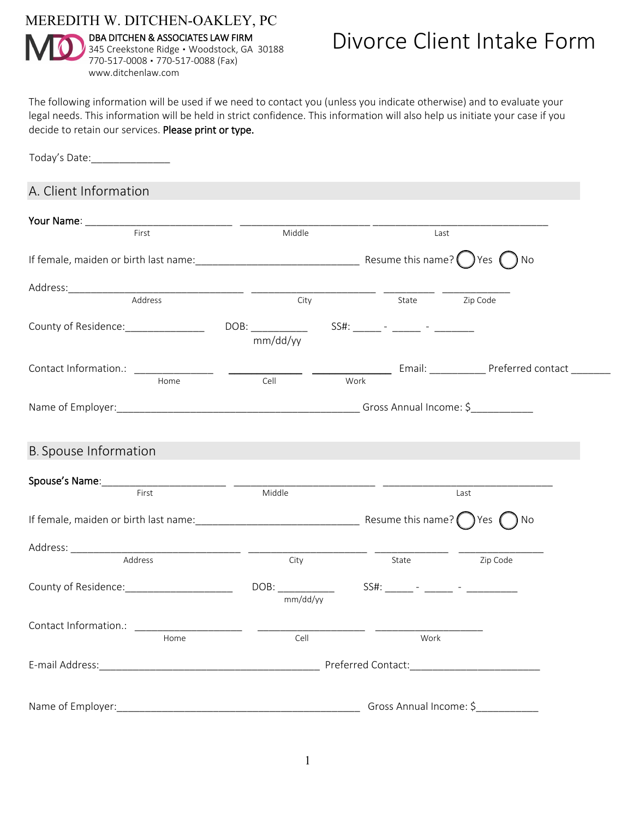MEREDITH W. DITCHEN-OAKLEY, PC



Today's Date:\_\_\_\_\_\_\_\_\_\_\_\_\_\_

DBA DITCHEN & ASSOCIATES LAW FIRM 345 Creekstone Ridge · Woodstock, GA 30188 770-517-0008 ▪ 770-517-0088 (Fax) www.ditchenlaw.com

## Divorce Client Intake Form

The following information will be used if we need to contact you (unless you indicate otherwise) and to evaluate your legal needs. This information will be held in strict confidence. This information will also help us initiate your case if you decide to retain our services. Please print or type.

A. Client Information Your Name: \_\_\_\_\_\_\_\_\_\_\_\_\_\_\_\_\_\_\_\_\_\_\_\_\_\_ \_\_\_\_\_\_\_\_\_\_\_\_\_\_\_\_\_\_\_\_\_\_\_ \_\_\_\_\_\_\_\_\_\_\_\_\_\_\_\_\_\_\_\_\_\_\_\_\_\_\_\_\_\_\_ Middle Last If female, maiden or birth last name:\_\_\_\_\_\_\_\_\_\_\_\_\_\_\_\_\_\_\_\_\_\_\_\_\_\_\_\_\_ Resume this name? Yes No Address:\_\_\_\_\_\_\_\_\_\_\_\_\_\_\_\_\_\_\_\_\_\_\_\_\_\_\_\_\_\_\_ \_\_\_\_\_\_\_\_\_\_\_\_\_\_\_\_\_\_\_\_\_\_ \_\_\_\_\_\_\_\_\_ \_\_\_\_\_\_\_\_\_\_\_\_ Address and State City City State Zip Code County of Residence: \_\_\_\_\_\_\_\_\_\_\_\_\_\_\_\_\_\_\_\_\_\_\_\_\_ DOB: \_\_\_\_\_\_\_\_\_\_\_\_\_\_\_\_\_\_\_\_\_\_\_\_\_\_\_\_\_ SS#: \_\_\_\_\_\_\_- - \_\_\_\_\_\_\_\_\_\_\_ mm/dd/yy Contact Information.: \_\_\_\_\_\_\_\_\_\_\_\_\_\_ \_\_\_\_\_\_\_\_\_\_\_\_\_ \_\_\_\_\_\_\_\_\_\_\_\_\_\_ Email: \_\_\_\_\_\_\_\_\_\_ Preferred contact \_\_\_\_\_\_\_ Home Cell Work Name of Employer:\_\_\_\_\_\_\_\_\_\_\_\_\_\_\_\_\_\_\_\_\_\_\_\_\_\_\_\_\_\_\_\_\_\_\_\_\_\_\_\_\_\_\_ Gross Annual Income: \$\_\_\_\_\_\_\_\_\_\_\_ B. Spouse Information Spouse's Name:\_\_\_\_\_\_\_\_\_\_\_\_\_\_\_\_\_\_\_\_\_\_ \_\_\_\_\_\_\_\_\_\_\_\_\_\_\_\_\_\_\_\_\_\_\_\_\_ \_\_\_\_\_\_\_\_\_\_\_\_\_\_\_\_\_\_\_\_\_\_\_\_\_\_\_\_\_\_ First Last If female, maiden or birth last name:  $\Box$ Address: \_\_\_\_\_\_\_\_\_\_\_\_\_\_\_\_\_\_\_\_\_\_\_\_\_\_\_\_\_\_ \_\_\_\_\_\_\_\_\_\_\_\_\_\_\_\_\_\_\_\_\_ \_\_\_\_\_\_\_\_\_\_\_\_\_ \_\_\_\_\_\_\_\_\_\_\_\_\_\_\_ Address and Scription City Communication City and State Zip Code County of Residence:\_\_\_\_\_\_\_\_\_\_\_\_\_\_\_\_\_\_\_ DOB: \_\_\_\_\_\_\_\_\_\_ SS#: \_\_\_\_\_ - \_\_\_\_\_ - \_\_\_\_\_\_\_\_\_ mm/dd/yy Contact Information.: \_\_\_\_\_ Home Cell Work E-mail Address: etc. and a set of the set of the set of the Preferred Contact: Name of Employer:\_\_\_\_\_\_\_\_\_\_\_\_\_\_\_\_\_\_\_\_\_\_\_\_\_\_\_\_\_\_\_\_\_\_\_\_\_\_\_\_\_\_\_ Gross Annual Income: \$\_\_\_\_\_\_\_\_\_\_\_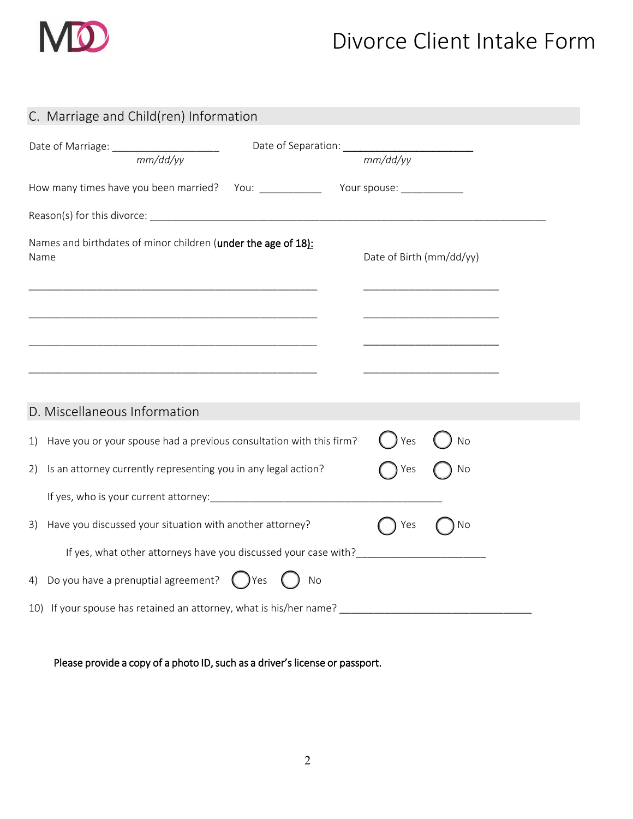

## Divorce Client Intake Form

| C. Marriage and Child(ren) Information                                                |                                     |
|---------------------------------------------------------------------------------------|-------------------------------------|
| Date of Marriage: ______________________<br>$\frac{1}{\text{mm}/\text{dd}/\text{yy}}$ | Date of Separation: <u>mm/dd/yy</u> |
| How many times have you been married? You: _______________ Your spouse: __________    |                                     |
|                                                                                       |                                     |
| Names and birthdates of minor children (under the age of 18):<br>Name                 | Date of Birth (mm/dd/yy)            |
| <u> 1989 - Johann John Stone, mars eta biztanleria (h. 1989).</u>                     |                                     |
| <u> 1989 - Johann Stoff, amerikansk politiker (d. 1989)</u>                           |                                     |
|                                                                                       |                                     |
| D. Miscellaneous Information                                                          |                                     |
| Have you or your spouse had a previous consultation with this firm?<br>1)             | ) Yes<br>No                         |
| Is an attorney currently representing you in any legal action?<br>2)                  | No<br>Yes                           |
|                                                                                       |                                     |
| Have you discussed your situation with another attorney?<br>3)                        | Yes<br>No                           |
| If yes, what other attorneys have you discussed your case with?                       |                                     |
| Do you have a prenuptial agreement? $\bigcirc$ Yes $\bigcirc$<br>No<br>4)             |                                     |
| 10) If your spouse has retained an attorney, what is his/her name?                    |                                     |

Please provide a copy of a photo ID, such as a driver's license or passport.